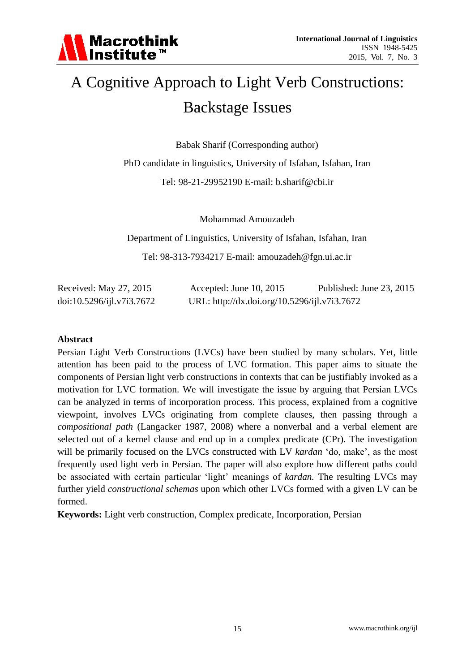

# A Cognitive Approach to Light Verb Constructions: Backstage Issues

Babak Sharif (Corresponding author)

PhD candidate in linguistics, University of Isfahan, Isfahan, Iran

Tel: 98-21-29952190 E-mail: b.sharif@cbi.ir

Mohammad Amouzadeh

Department of Linguistics, University of Isfahan, Isfahan, Iran Tel: 98-313-7934217 E-mail: amouzadeh@fgn.ui.ac.ir

| Received: May 27, 2015    | Accepted: June $10, 2015$                    | Published: June 23, 2015 |
|---------------------------|----------------------------------------------|--------------------------|
| doi:10.5296/ijl.v7i3.7672 | URL: http://dx.doi.org/10.5296/ijl.v7i3.7672 |                          |

#### **Abstract**

Persian Light Verb Constructions (LVCs) have been studied by many scholars. Yet, little attention has been paid to the process of LVC formation. This paper aims to situate the components of Persian light verb constructions in contexts that can be justifiably invoked as a motivation for LVC formation. We will investigate the issue by arguing that Persian LVCs can be analyzed in terms of incorporation process. This process, explained from a cognitive viewpoint, involves LVCs originating from complete clauses, then passing through a *compositional path* (Langacker 1987, 2008) where a nonverbal and a verbal element are selected out of a kernel clause and end up in a complex predicate (CPr). The investigation will be primarily focused on the LVCs constructed with LV *kardan* ‗do, make', as the most frequently used light verb in Persian. The paper will also explore how different paths could be associated with certain particular 'light' meanings of *kardan*. The resulting LVCs may further yield *constructional schemas* upon which other LVCs formed with a given LV can be formed.

**Keywords:** Light verb construction, Complex predicate, Incorporation, Persian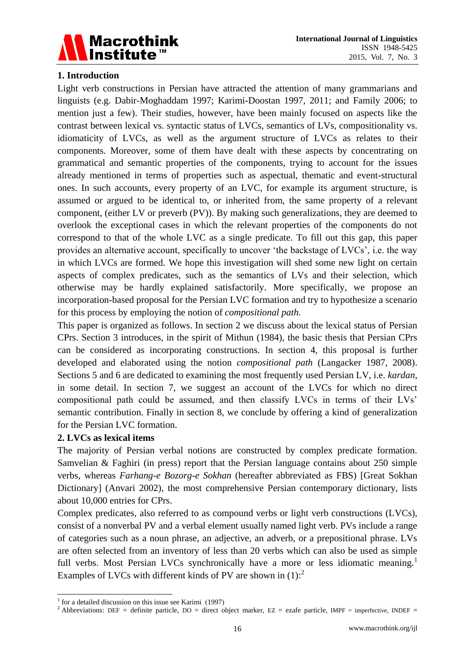

# **1. Introduction**

Light verb constructions in Persian have attracted the attention of many grammarians and linguists (e.g. Dabir-Moghaddam 1997; Karimi-Doostan 1997, 2011; and Family 2006; to mention just a few). Their studies, however, have been mainly focused on aspects like the contrast between lexical vs. syntactic status of LVCs, semantics of LVs, compositionality vs. idiomaticity of LVCs, as well as the argument structure of LVCs as relates to their components. Moreover, some of them have dealt with these aspects by concentrating on grammatical and semantic properties of the components, trying to account for the issues already mentioned in terms of properties such as aspectual, thematic and event-structural ones. In such accounts, every property of an LVC, for example its argument structure, is assumed or argued to be identical to, or inherited from, the same property of a relevant component, (either LV or preverb (PV)). By making such generalizations, they are deemed to overlook the exceptional cases in which the relevant properties of the components do not correspond to that of the whole LVC as a single predicate. To fill out this gap, this paper provides an alternative account, specifically to uncover 'the backstage of LVCs', i.e. the way in which LVCs are formed. We hope this investigation will shed some new light on certain aspects of complex predicates, such as the semantics of LVs and their selection, which otherwise may be hardly explained satisfactorily. More specifically, we propose an incorporation-based proposal for the Persian LVC formation and try to hypothesize a scenario for this process by employing the notion of *compositional path.*

This paper is organized as follows. In section 2 we discuss about the lexical status of Persian CPrs. Section 3 introduces, in the spirit of Mithun (1984), the basic thesis that Persian CPrs can be considered as incorporating constructions. In section 4, this proposal is further developed and elaborated using the notion *compositional path* (Langacker 1987, 2008). Sections 5 and 6 are dedicated to examining the most frequently used Persian LV, i.e. *kardan*, in some detail. In section 7, we suggest an account of the LVCs for which no direct compositional path could be assumed, and then classify LVCs in terms of their LVs' semantic contribution. Finally in section 8, we conclude by offering a kind of generalization for the Persian LVC formation.

# **2. LVCs as lexical items**

The majority of Persian verbal notions are constructed by complex predicate formation. Samvelian & Faghiri (in press) report that the Persian language contains about 250 simple verbs, whereas *Farhang-e Bozorg-e Sokhan* (hereafter abbreviated as FBS) [Great Sokhan Dictionary] (Anvari 2002), the most comprehensive Persian contemporary dictionary, lists about 10,000 entries for CPrs.

Complex predicates, also referred to as compound verbs or light verb constructions (LVCs), consist of a nonverbal PV and a verbal element usually named light verb. PVs include a range of categories such as a noun phrase, an adjective, an adverb, or a prepositional phrase. LVs are often selected from an inventory of less than 20 verbs which can also be used as simple full verbs. Most Persian LVCs synchronically have a more or less idiomatic meaning.<sup>1</sup> Examples of LVCs with different kinds of PV are shown in  $(1)$ :<sup>2</sup>

<sup>&</sup>lt;u>.</u>  $1$  for a detailed discussion on this issue see Karimi (1997)

<sup>&</sup>lt;sup>2</sup> Abbreviations: DEF = definite particle, DO = direct object marker, EZ = ezafe particle, IMPF = imperfective, INDEF =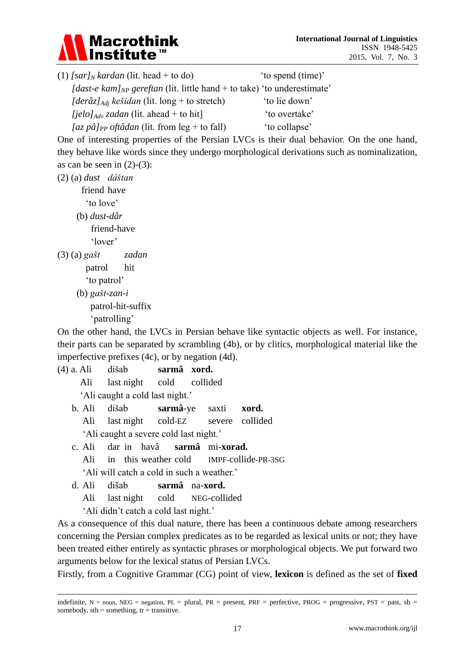

| $(1)$ [sar] <sub>N</sub> kardan (lit. head + to do)                                 | 'to spend (time)' |
|-------------------------------------------------------------------------------------|-------------------|
| [dast-e kam] <sub>NP</sub> gereftan (lit. little hand + to take) 'to underestimate' |                   |
| [der $\hat{\alpha}$ ] <sub>Adi</sub> kešidan (lit. long + to stretch)               | 'to lie down'     |
| <i>[jelo]</i> <sub>Adv</sub> zadan (lit. ahead + to hit]                            | 'to overtake'     |
| [az pâ] $_{PP}$ oft âdan (lit. from leg + to fall)                                  | 'to collapse'     |

One of interesting properties of the Persian LVCs is their dual behavior. On the one hand, they behave like words since they undergo morphological derivations such as nominalization, as can be seen in  $(2)-(3)$ :

(2) (a) *dust dâštan*

 friend have ‗to love' (b) *dust-dâr* friend-have

‗lover'

(3) (a) *gašt zadan*

patrol hit

‗to patrol'

(b) *gašt-zan-i* patrol-hit-suffix ‗patrolling'

On the other hand, the LVCs in Persian behave like syntactic objects as well. For instance, their parts can be separated by scrambling (4b), or by clitics, morphological material like the imperfective prefixes (4c), or by negation (4d).

(4) a. Ali dišab **sarmâ xord.**

Ali last night cold collided

‗Ali caught a cold last night.'

b. Ali dišab **sarmâ**-ye saxti **xord.** Ali last night cold-EZ severe collided

‗Ali caught a severe cold last night.'

- c. Ali dar in havâ **sarmâ** mi-**xorad.** Ali in this weather cold IMPF-collide-PR-3SG ‗Ali will catch a cold in such a weather.'
- d. Ali dišab **sarmâ** na-**xord.**

Ali last night cold NEG-collided

‗Ali didn't catch a cold last night.'

<u>.</u>

As a consequence of this dual nature, there has been a continuous debate among researchers concerning the Persian complex predicates as to be regarded as lexical units or not; they have been treated either entirely as syntactic phrases or morphological objects. We put forward two arguments below for the lexical status of Persian LVCs.

Firstly, from a Cognitive Grammar (CG) point of view, **lexicon** is defined as the set of **fixed** 

indefinite,  $N =$  noun, NEG = negation, PL = plural, PR = present, PRF = perfective, PROG = progressive, PST = past, sb = somebody,  $sth =$ something,  $tr =$ transitive.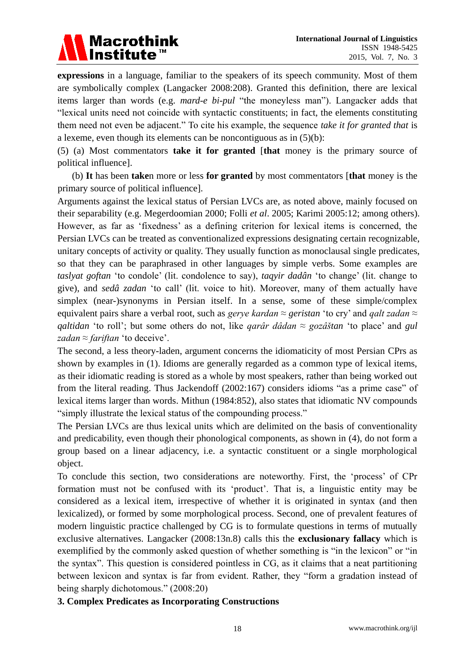# Macrothink<br>Institute™

**expressions** in a language, familiar to the speakers of its speech community. Most of them are symbolically complex (Langacker 2008:208). Granted this definition, there are lexical items larger than words (e.g. *mard-e bi-pul* "the moneyless man"). Langacker adds that ―lexical units need not coincide with syntactic constituents; in fact, the elements constituting them need not even be adjacent." To cite his example, the sequence *take it for granted that* is a lexeme, even though its elements can be noncontiguous as in (5)(b):

(5) (a) Most commentators **take it for granted** [**that** money is the primary source of political influence].

(b) **It** has been **take**n more or less **for granted** by most commentators [**that** money is the primary source of political influence].

Arguments against the lexical status of Persian LVCs are, as noted above, mainly focused on their separability (e.g. Megerdoomian 2000; Folli *et al*. 2005; Karimi 2005:12; among others). However, as far as 'fixedness' as a defining criterion for lexical items is concerned, the Persian LVCs can be treated as conventionalized expressions designating certain recognizable, unitary concepts of activity or quality. They usually function as monoclausal single predicates, so that they can be paraphrased in other languages by simple verbs. Some examples are *taslyat goftan* ‗to condole' (lit. condolence to say), *taqyir dadân* ‗to change' (lit. change to give), and *sedâ zadan* ‗to call' (lit. voice to hit). Moreover, many of them actually have simplex (near-)synonyms in Persian itself. In a sense, some of these simple/complex equivalent pairs share a verbal root, such as *gerye kardan ≈ geristan* ‗to cry' and *qalt zadan ≈ qaltidan* ‗to roll'; but some others do not, like *qarâr dâdan ≈ gozâštan* ‗to place' and *gul zadan* ≈ *fariftan* 'to deceive'.

The second, a less theory-laden, argument concerns the idiomaticity of most Persian CPrs as shown by examples in (1). Idioms are generally regarded as a common type of lexical items, as their idiomatic reading is stored as a whole by most speakers, rather than being worked out from the literal reading. Thus Jackendoff  $(2002:167)$  considers idioms "as a prime case" of lexical items larger than words. Mithun (1984:852), also states that idiomatic NV compounds "simply illustrate the lexical status of the compounding process."

The Persian LVCs are thus lexical units which are delimited on the basis of conventionality and predicability, even though their phonological components, as shown in (4), do not form a group based on a linear adjacency, i.e. a syntactic constituent or a single morphological object.

To conclude this section, two considerations are noteworthy. First, the ‗process' of CPr formation must not be confused with its 'product'. That is, a linguistic entity may be considered as a lexical item, irrespective of whether it is originated in syntax (and then lexicalized), or formed by some morphological process. Second, one of prevalent features of modern linguistic practice challenged by CG is to formulate questions in terms of mutually exclusive alternatives. Langacker (2008:13n.8) calls this the **exclusionary fallacy** which is exemplified by the commonly asked question of whether something is "in the lexicon" or "in the syntax‖. This question is considered pointless in CG, as it claims that a neat partitioning between lexicon and syntax is far from evident. Rather, they "form a gradation instead of being sharply dichotomous." (2008:20)

# **3. Complex Predicates as Incorporating Constructions**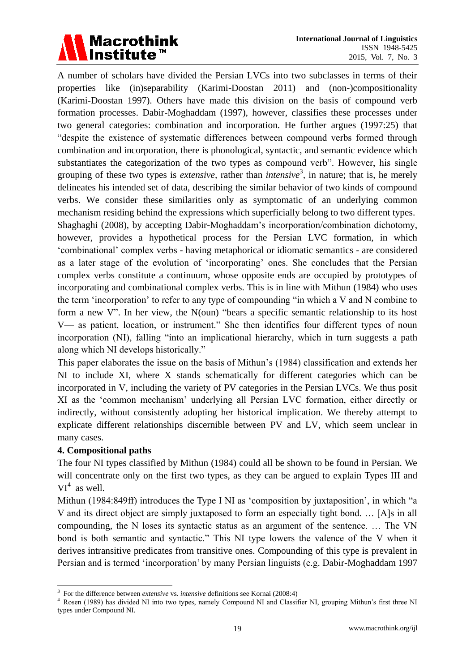

A number of scholars have divided the Persian LVCs into two subclasses in terms of their properties like (in)separability (Karimi-Doostan 2011) and (non-)compositionality (Karimi-Doostan 1997). Others have made this division on the basis of compound verb formation processes. Dabir-Moghaddam (1997), however, classifies these processes under two general categories: combination and incorporation. He further argues (1997:25) that ―despite the existence of systematic differences between compound verbs formed through combination and incorporation, there is phonological, syntactic, and semantic evidence which substantiates the categorization of the two types as compound verb". However, his single grouping of these two types is *extensive*, rather than *intensive*<sup>3</sup>, in nature; that is, he merely delineates his intended set of data, describing the similar behavior of two kinds of compound verbs. We consider these similarities only as symptomatic of an underlying common mechanism residing behind the expressions which superficially belong to two different types. Shaghaghi (2008), by accepting Dabir-Moghaddam's incorporation/combination dichotomy,

however, provides a hypothetical process for the Persian LVC formation, in which ‗combinational' complex verbs - having metaphorical or idiomatic semantics - are considered as a later stage of the evolution of 'incorporating' ones. She concludes that the Persian complex verbs constitute a continuum, whose opposite ends are occupied by prototypes of incorporating and combinational complex verbs. This is in line with Mithun (1984) who uses the term  $\hat{i}$  incorporation' to refer to any type of compounding  $\hat{i}$  in which a V and N combine to form a new V". In her view, the  $N(oun)$  "bears a specific semantic relationship to its host V— as patient, location, or instrument." She then identifies four different types of noun incorporation (NI), falling "into an implicational hierarchy, which in turn suggests a path along which NI develops historically."

This paper elaborates the issue on the basis of Mithun's (1984) classification and extends her NI to include XI, where X stands schematically for different categories which can be incorporated in V, including the variety of PV categories in the Persian LVCs. We thus posit XI as the ‗common mechanism' underlying all Persian LVC formation, either directly or indirectly, without consistently adopting her historical implication. We thereby attempt to explicate different relationships discernible between PV and LV, which seem unclear in many cases.

### **4. Compositional paths**

The four NI types classified by Mithun (1984) could all be shown to be found in Persian. We will concentrate only on the first two types, as they can be argued to explain Types III and  $VI^4$  as well.

Mithun (1984:849ff) introduces the Type I NI as 'composition by juxtaposition', in which "a V and its direct object are simply juxtaposed to form an especially tight bond. … [A]s in all compounding, the N loses its syntactic status as an argument of the sentence. … The VN bond is both semantic and syntactic." This NI type lowers the valence of the V when it derives intransitive predicates from transitive ones. Compounding of this type is prevalent in Persian and is termed ‗incorporation' by many Persian linguists (e.g. Dabir-Moghaddam 1997

 3 For the difference between *extensive* vs. *intensive* definitions see Kornai (2008:4)

<sup>4</sup> Rosen (1989) has divided NI into two types, namely Compound NI and Classifier NI, grouping Mithun's first three NI types under Compound NI.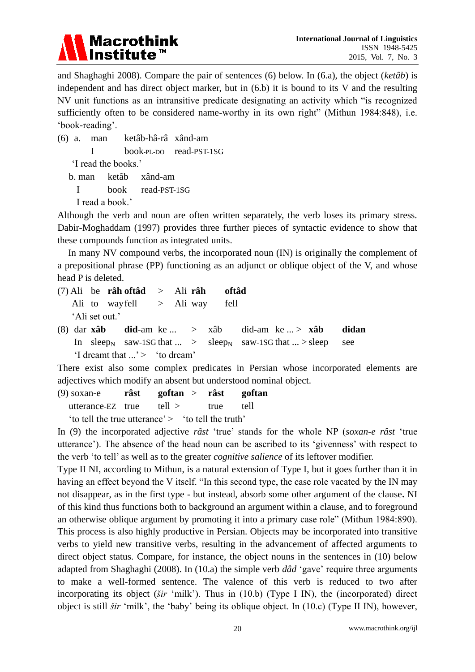

and Shaghaghi 2008). Compare the pair of sentences (6) below. In (6.a), the object (*ketâb*) is independent and has direct object marker, but in (6.b) it is bound to its V and the resulting NV unit functions as an intransitive predicate designating an activity which "is recognized sufficiently often to be considered name-worthy in its own right" (Mithun 1984:848), i.e. ‗book-reading'.

(6) a. man ketâb-hâ-râ xând-am I book-PL-DO read-PST-1SG ‗I read the books.'

b. man ketâb xând-am

I book read-PST-1SG

I read a book.'

Although the verb and noun are often written separately, the verb loses its primary stress. Dabir-Moghaddam (1997) provides three further pieces of syntactic evidence to show that these compounds function as integrated units.

In many NV compound verbs, the incorporated noun (IN) is originally the complement of a prepositional phrase (PP) functioning as an adjunct or oblique object of the V, and whose head P is deleted.

(7) Ali be **râh oftâd** > Ali **râh oftâd** Ali to wayfell > Ali way fell ‗Ali set out.'

(8) dar **xâb did**-am ke ... > xâb did-am ke ... > **xâb didan** In sleep<sub>N</sub> saw-1SG that ... > sleep<sub>N</sub> saw-1SG that ... > sleep see  $\text{``I}$  dreamt that  $\ldots$  's  $\text{``to}$  dream'

There exist also some complex predicates in Persian whose incorporated elements are adjectives which modify an absent but understood nominal object.

(9) soxan-e **râst goftan** > **râst goftan** utterance-EZ true tell > true tell

'to tell the true utterance'  $>$  'to tell the truth'

In (9) the incorporated adjective *râst* ‗true' stands for the whole NP (*soxan-e râst* ‗true utterance'). The absence of the head noun can be ascribed to its ‗givenness' with respect to the verb 'to tell' as well as to the greater *cognitive salience* of its leftover modifier.

Type II NI, according to Mithun, is a natural extension of Type I, but it goes further than it in having an effect beyond the V itself. "In this second type, the case role vacated by the IN may not disappear, as in the first type - but instead, absorb some other argument of the clause**.** NI of this kind thus functions both to background an argument within a clause, and to foreground an otherwise oblique argument by promoting it into a primary case role" (Mithun 1984:890). This process is also highly productive in Persian. Objects may be incorporated into transitive verbs to yield new transitive verbs, resulting in the advancement of affected arguments to direct object status. Compare, for instance, the object nouns in the sentences in (10) below adapted from Shaghaghi (2008). In (10.a) the simple verb  $d\hat{\alpha}d'$  gave' require three arguments to make a well-formed sentence. The valence of this verb is reduced to two after incorporating its object (*šir* 'milk'). Thus in (10.b) (Type I IN), the (incorporated) direct object is still *šir* ‗milk', the ‗baby' being its oblique object. In (10.c) (Type II IN), however,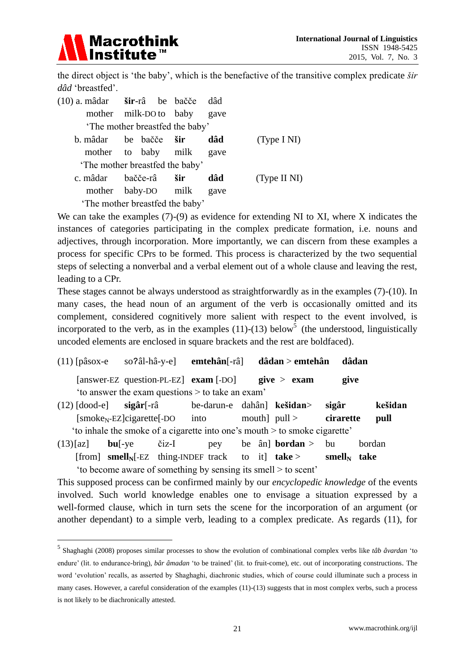

<u>.</u>

the direct object is 'the baby', which is the benefactive of the transitive complex predicate *šir* dâd 'breastfed'.

| (10) a. m âdar <b>šir</b> -r â be bačče dâd |  |  |  |      |              |  |  |  |
|---------------------------------------------|--|--|--|------|--------------|--|--|--|
| mother milk-DO to baby gave                 |  |  |  |      |              |  |  |  |
| The mother breastfed the baby'              |  |  |  |      |              |  |  |  |
| b. mâdar be bačče <b>šir</b>                |  |  |  | d âd | (Type I NI)  |  |  |  |
| mother to baby milk                         |  |  |  | gave |              |  |  |  |
| 'The mother breastfed the baby'             |  |  |  |      |              |  |  |  |
| c. mâdar bačče-râ šir                       |  |  |  | d âd | (Type II NI) |  |  |  |
| mother baby-DO milk                         |  |  |  | gave |              |  |  |  |
| 'The mother breastfed the baby'             |  |  |  |      |              |  |  |  |

We can take the examples (7)-(9) as evidence for extending NI to XI, where X indicates the instances of categories participating in the complex predicate formation, i.e. nouns and adjectives, through incorporation. More importantly, we can discern from these examples a process for specific CPrs to be formed. This process is characterized by the two sequential steps of selecting a nonverbal and a verbal element out of a whole clause and leaving the rest, leading to a CPr.

These stages cannot be always understood as straightforwardly as in the examples (7)-(10). In many cases, the head noun of an argument of the verb is occasionally omitted and its complement, considered cognitively more salient with respect to the event involved, is incorporated to the verb, as in the examples  $(11)-(13)$  below<sup>5</sup> (the understood, linguistically uncoded elements are enclosed in square brackets and the rest are boldfaced).

- (11) [pâsox-e soॽâl-hâ-y-e] **emtehân**[-râ] **dâdan** > **emtehân dâdan** [answer-EZ question-PL-EZ] **exam** [-DO] **give** > **exam give** 'to answer the exam questions  $>$  to take an exam' (12) [dood-e] **sigâr**[-râ be-darun-e dahân] **kešidan**> **sigâr kešidan**  $[\text{smoke}_N-EZ] \text{cigarett}$  =  $\text{co} \left( \text{cm} \right)$  =  $\text{th} \left( \text{cm} \right)$  =  $\text{cm} \left( \text{cm} \right)$  =  $\text{cm} \left( \text{cm} \right)$  =  $\text{cm} \left( \text{cm} \right)$  =  $\text{cm} \left( \text{cm} \right)$  =  $\text{cm} \left( \text{cm} \right)$  =  $\text{cm} \left( \text{cm} \right)$  =  $\text{cm} \left( \text{cm} \right)$  =  $\text{cm} \left( \$ 
	- ‗to inhale the smoke of a cigarette into one's mouth > to smoke cigarette'
- (13)[az] **bu**[-ye čiz-I pey be ân] **bordan** > bu bordan [from] **smellN**[-EZ thing-INDEF track to it] **take** > **smell<sup>N</sup> take** ‗to become aware of something by sensing its smell > to scent'

This supposed process can be confirmed mainly by our *encyclopedic knowledge* of the events involved. Such world knowledge enables one to envisage a situation expressed by a well-formed clause, which in turn sets the scene for the incorporation of an argument (or another dependant) to a simple verb, leading to a complex predicate. As regards (11), for

<sup>5</sup> Shaghaghi (2008) proposes similar processes to show the evolution of combinational complex verbs like *tâb âvardan* ‗to endure' (lit. to endurance-bring), *bâr âmadan* 'to be trained' (lit. to fruit-come), etc. out of incorporating constructions. The word ‗evolution' recalls, as asserted by Shaghaghi, diachronic studies, which of course could illuminate such a process in many cases. However, a careful consideration of the examples (11)-(13) suggests that in most complex verbs, such a process is not likely to be diachronically attested.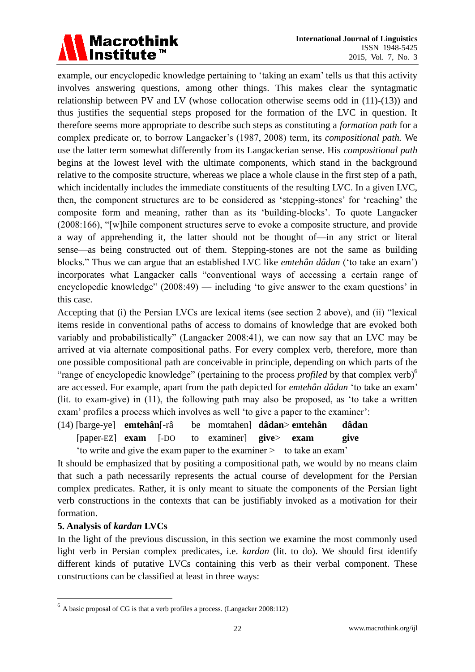

example, our encyclopedic knowledge pertaining to 'taking an exam' tells us that this activity involves answering questions, among other things. This makes clear the syntagmatic relationship between PV and LV (whose collocation otherwise seems odd in (11)-(13)) and thus justifies the sequential steps proposed for the formation of the LVC in question. It therefore seems more appropriate to describe such steps as constituting a *formation path* for a complex predicate or, to borrow Langacker's (1987, 2008) term*,* its *compositional path.* We use the latter term somewhat differently from its Langackerian sense. His *compositional path* begins at the lowest level with the ultimate components, which stand in the background relative to the composite structure, whereas we place a whole clause in the first step of a path, which incidentally includes the immediate constituents of the resulting LVC. In a given LVC, then, the component structures are to be considered as 'stepping-stones' for 'reaching' the composite form and meaning, rather than as its ‗building-blocks'. To quote Langacker  $(2008:166)$ , "[w]hile component structures serve to evoke a composite structure, and provide a way of apprehending it, the latter should not be thought of—in any strict or literal sense—as being constructed out of them. Stepping-stones are not the same as building blocks." Thus we can argue that an established LVC like *emteh ân d âdan* ('to take an exam') incorporates what Langacker calls "conventional ways of accessing a certain range of encyclopedic knowledge" (2008:49) — including 'to give answer to the exam questions' in this case.

Accepting that (i) the Persian LVCs are lexical items (see section 2 above), and (ii) "lexical items reside in conventional paths of access to domains of knowledge that are evoked both variably and probabilistically" (Langacker 2008:41), we can now say that an LVC may be arrived at via alternate compositional paths. For every complex verb, therefore, more than one possible compositional path are conceivable in principle, depending on which parts of the "range of encyclopedic knowledge" (pertaining to the process *profiled* by that complex verb)<sup>6</sup> are accessed. For example, apart from the path depicted for *emteh* and dalan 'to take an exam' (lit. to exam-give) in  $(11)$ , the following path may also be proposed, as 'to take a written exam' profiles a process which involves as well 'to give a paper to the examiner':

(14) [barge-ye] **emtehân**[-râ be momtahen] **dâdan**> **emtehân dâdan** [paper-EZ] **exam** [-DO to examiner] **give**> **exam give** ‗to write and give the exam paper to the examiner > to take an exam'

It should be emphasized that by positing a compositional path, we would by no means claim that such a path necessarily represents the actual course of development for the Persian complex predicates. Rather, it is only meant to situate the components of the Persian light verb constructions in the contexts that can be justifiably invoked as a motivation for their formation.

### **5. Analysis of** *kardan* **LVCs**

<u>.</u>

In the light of the previous discussion, in this section we examine the most commonly used light verb in Persian complex predicates, i.e. *kardan* (lit. to do). We should first identify different kinds of putative LVCs containing this verb as their verbal component. These constructions can be classified at least in three ways:

 $<sup>6</sup>$  A basic proposal of CG is that a verb profiles a process. (Langacker 2008:112)</sup>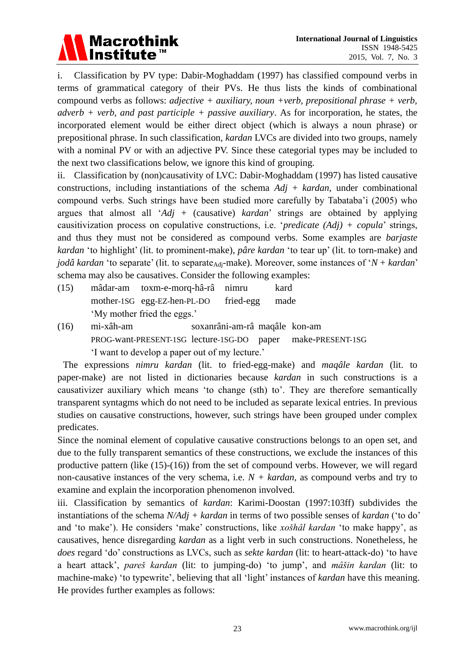# Macrothink<br>Institute™

i. Classification by PV type: Dabir-Moghaddam (1997) has classified compound verbs in terms of grammatical category of their PVs. He thus lists the kinds of combinational compound verbs as follows: *adjective + auxiliary, noun +verb, prepositional phrase + verb, adverb + verb, and past participle + passive auxiliary*. As for incorporation, he states, the incorporated element would be either direct object (which is always a noun phrase) or prepositional phrase. In such classification, *kardan* LVCs are divided into two groups, namely with a nominal PV or with an adjective PV. Since these categorial types may be included to the next two classifications below, we ignore this kind of grouping.

ii. Classification by (non)causativity of LVC: Dabir-Moghaddam (1997) has listed causative constructions, including instantiations of the schema *Adj* + *kardan*, under combinational compound verbs. Such strings have been studied more carefully by Tabataba'i (2005) who argues that almost all ‗*Adj* + (causative) *kardan*' strings are obtained by applying causitivization process on copulative constructions, i.e. ‗*predicate (Adj) + copula*' strings, and thus they must not be considered as compound verbs. Some examples are *barjaste kardan* ‗to highlight' (lit. to prominent-make), *pâre kardan* ‗to tear up' (lit. to torn-make) and *jod*  $\hat{a}$  *kardan* 'to separate' (lit. to separate<sub>Adj</sub>-make). Moreover, some instances of 'N + *kardan*' schema may also be causatives. Consider the following examples:

- (15) mâdar-am toxm-e-morq-hâ-râ nimru kard mother-1SG egg-EZ-hen-PL-DO fried-egg made ‗My mother fried the eggs.'
- (16) mi-xâh-am soxanrâni-am-râmaqâle kon-am PROG-want-PRESENT-1SG lecture-1SG-DO paper make-PRESENT-1SG ‗I want to develop a paper out of my lecture.'

The expressions *nimru kardan* (lit. to fried-egg-make) and *maqâle kardan* (lit. to paper-make) are not listed in dictionaries because *kardan* in such constructions is a causativizer auxiliary which means 'to change (sth) to'. They are therefore semantically transparent syntagms which do not need to be included as separate lexical entries. In previous studies on causative constructions, however, such strings have been grouped under complex predicates.

Since the nominal element of copulative causative constructions belongs to an open set, and due to the fully transparent semantics of these constructions, we exclude the instances of this productive pattern (like (15)-(16)) from the set of compound verbs. However, we will regard non-causative instances of the very schema, i.e.  $N + \text{kardan}$ , as compound verbs and try to examine and explain the incorporation phenomenon involved.

iii. Classification by semantics of *kardan*: Karimi-Doostan (1997:103ff) subdivides the instantiations of the schema *N/Adj + kardan* in terms of two possible senses of *kardan* ('to do' and 'to make'). He considers 'make' constructions, like *xošhâl kardan* 'to make happy', as causatives, hence disregarding *kardan* as a light verb in such constructions. Nonetheless, he *does* regard ‗do' constructions as LVCs, such as *sekte kardan* (lit: to heart-attack-do) ‗to have a heart attack', *pareš kardan* (lit: to jumping-do) ‗to jump', and *mâšin kardan* (lit: to machine-make) 'to typewrite', believing that all 'light' instances of *kardan* have this meaning. He provides further examples as follows: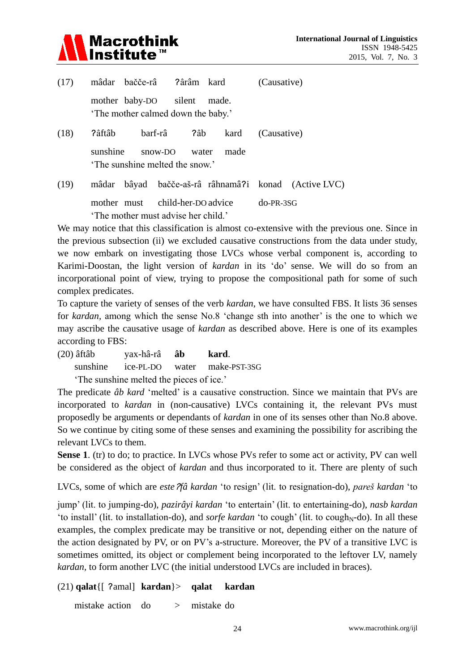

| (17) | mâdar bačče-râ ?ârâm kard                                             |               |      | (Causative)  |  |
|------|-----------------------------------------------------------------------|---------------|------|--------------|--|
|      | mother baby-DO silent made.<br>'The mother calmed down the baby.'     |               |      |              |  |
| (18) | ?âft âb                                                               |               |      | (Causative)  |  |
|      | sunshine<br>The sunshine melted the snow.'                            | snow-DO water | made |              |  |
| (19) | mâdar bâyad bačče-aš-râ râhnamâ?i konad (Active LVC)                  |               |      |              |  |
|      | mother must child-her-DO advice<br>The mother must advise her child.' |               |      | $do$ -PR-3SG |  |

We may notice that this classification is almost co-extensive with the previous one. Since in the previous subsection (ii) we excluded causative constructions from the data under study, we now embark on investigating those LVCs whose verbal component is, according to Karimi-Doostan, the light version of *kardan* in its ‗do' sense. We will do so from an incorporational point of view, trying to propose the compositional path for some of such complex predicates.

To capture the variety of senses of the verb *kardan*, we have consulted FBS. It lists 36 senses for *kardan*, among which the sense No.8 'change sth into another' is the one to which we may ascribe the causative usage of *kardan* as described above. Here is one of its examples according to FBS:

(20) âftâb yax-hâ-râ **âb kard**. sunshine ice-PL-DO water make-PST-3SG The sunshine melted the pieces of ice.'

The predicate *âb kard* 'melted' is a causative construction. Since we maintain that PVs are incorporated to *kardan* in (non-causative) LVCs containing it, the relevant PVs must proposedly be arguments or dependants of *kardan* in one of its senses other than No.8 above. So we continue by citing some of these senses and examining the possibility for ascribing the relevant LVCs to them.

**Sense 1**. (tr) to do; to practice. In LVCs whose PVs refer to some act or activity, PV can well be considered as the object of *kardan* and thus incorporated to it. There are plenty of such

LVCs, some of which are *este*ॽ*fâ kardan* ‗to resign' (lit. to resignation-do), *pareš kardan* ‗to

jump' (lit. to jumping-do), *pazirâyi kardan* ‗to entertain' (lit. to entertaining-do), *nasb kardan* 'to install' (lit. to installation-do), and *sorfe kardan* 'to cough' (lit. to cough<sub>N</sub>-do). In all these examples, the complex predicate may be transitive or not, depending either on the nature of the action designated by PV, or on PV's a-structure. Moreover, the PV of a transitive LVC is sometimes omitted, its object or complement being incorporated to the leftover LV, namely *kardan,* to form another LVC (the initial understood LVCs are included in braces).

# (21) **qalat**{[ ॽamal] **kardan**}> **qalat kardan**

mistake action do > mistake do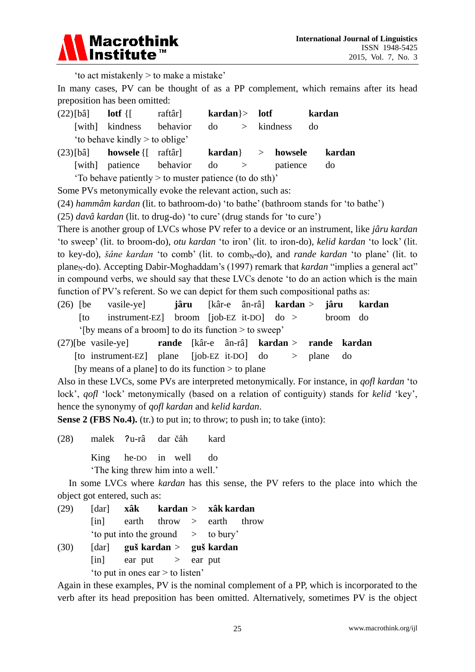

‗to act mistakenly > to make a mistake'

In many cases, PV can be thought of as a PP complement, which remains after its head preposition has been omitted:

| $(22)$ [bâ] lotf {[                                    |                                                 | raft â ] | $kardan$ > lotf |  |  |                    | kardan |        |
|--------------------------------------------------------|-------------------------------------------------|----------|-----------------|--|--|--------------------|--------|--------|
|                                                        | [with] kindness behavior                        |          | do              |  |  | $>$ kindness       | do     |        |
| 'to behave kindly > to oblige'                         |                                                 |          |                 |  |  |                    |        |        |
|                                                        | $(23)$ [b $\hat{a}$ howsele {[ raft $\hat{a}$ ] |          |                 |  |  | $kardan$ > howsele |        | kardan |
|                                                        | [with] patience behavior                        |          | $\text{do}$ >   |  |  | patience           |        | do     |
| 'To behave patiently > to muster patience (to do sth)' |                                                 |          |                 |  |  |                    |        |        |

Some PVs metonymically evoke the relevant action, such as:

(24) *hammâm kardan* (lit. to bathroom-do) ‗to bathe' (bathroom stands for ‗to bathe')

(25) *davâ kardan* (lit. to drug-do) ‗to cure' (drug stands for ‗to cure')

There is another group of LVCs whose PV refer to a device or an instrument, like *jâru kardan* ‗to sweep' (lit. to broom-do), *otu kardan* ‗to iron' (lit. to iron-do), *kelid kardan* ‗to lock' (lit. to key-do), *šâne kardan* 'to comb' (lit. to comb<sub>N</sub>-do), and *rande kardan* 'to plane' (lit. to plane<sub>N</sub>-do). Accepting Dabir-Moghaddam's (1997) remark that *kardan* "implies a general act" in compound verbs, we should say that these LVCs denote ‗to do an action which is the main function of PV's referent. So we can depict for them such compositional paths as:

- (26) [be vasile-ye] **jâru** [kâr-e ân-râ] **kardan** > **jâru kardan** [to instrument-EZ] broom [job-EZ it-DO] do > broom do '[by means of a broom] to do its function  $>$  to sweep'
- (27)[be vasile-ye] **rande** [kâr-e ân-râ] **kardan** > **rande kardan** [to instrument-EZ] plane [job-EZ it-DO] do > plane do

[by means of a plane] to do its function  $>$  to plane

Also in these LVCs, some PVs are interpreted metonymically. For instance, in *qofl kardan* ‗to lock', *qofl* 'lock' metonymically (based on a relation of contiguity) stands for *kelid* 'key', hence the synonymy of *qofl kardan* and *kelid kardan*.

**Sense 2 (FBS No.4).** (tr.) to put in; to throw; to push in; to take (into):

(28) malek ॽu-râ dar čâh kard

King he-DO in well do

‗The king threw him into a well.'

In some LVCs where *kardan* has this sense, the PV refers to the place into which the object got entered, such as:

(29) [dar] **xâk kardan** > **xâk kardan** [in] earth throw > earth throw  $'to put into the ground \t\t > \tto bury'$ (30) [dar] **guš kardan** > **guš kardan**  $\begin{array}{rcl} \text{[in]} & \text{ear put} & > \text{ear put} \end{array}$ 'to put in ones ear  $>$  to listen'

Again in these examples, PV is the nominal complement of a PP, which is incorporated to the verb after its head preposition has been omitted. Alternatively, sometimes PV is the object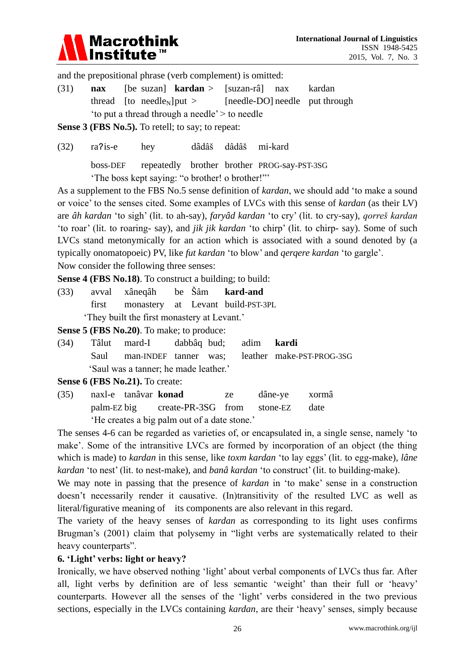

and the prepositional phrase (verb complement) is omitted:

(31) **nax** [be suzan] **kardan** > [suzan-râ] nax kardan thread  $[$ to needle<sub>N</sub> $]$ put >  $[$ needle-DO $]$  needle put through  $'to$  put a thread through a needle'  $>$  to needle

**Sense 3 (FBS No.5).** To retell; to say; to repeat:

(32) raॽis-e hey dâdâš dâdâš mi-kard

boss-DEF repeatedly brother brother PROG-say-PST-3SG

The boss kept saying: "o brother! o brother!"

As a supplement to the FBS No.5 sense definition of *kardan*, we should add 'to make a sound or voice' to the senses cited. Some examples of LVCs with this sense of *kardan* (as their LV) are *âh kardan* ‗to sigh' (lit. to ah-say), *faryâd kardan* ‗to cry' (lit. to cry-say), *qorreš kardan* ‗to roar' (lit. to roaring- say), and *jik jik kardan* ‗to chirp' (lit. to chirp- say). Some of such LVCs stand metonymically for an action which is associated with a sound denoted by (a typically onomatopoeic) PV, like *fut kardan* ‗to blow' and *qerqere kardan* ‗to gargle'.

Now consider the following three senses:

**Sense 4 (FBS No.18)**. To construct a building; to build:

(33) avval xâneqâh be Šâm **kard-and** first monastery at Levant build-PST-3PL ‗They built the first monastery at Levant.'

**Sense 5 (FBS No.20)**. To make; to produce:

(34) Tâlut mard-I dabbâq bud; adim **kardi** Saul man-INDEF tanner was; leather make-PST-PROG-3SG ‗Saul was a tanner; he made leather.'

**Sense 6 (FBS No.21).** To create:

(35) naxl-e tanâvar **konad** ze dâne-ye xormâ palm-EZ big create-PR-3SG from stone-EZ date ‗He creates a big palm out of a date stone.'

The senses 4-6 can be regarded as varieties of, or encapsulated in, a single sense, namely 'to make'. Some of the intransitive LVCs are formed by incorporation of an object (the thing which is made) to *kardan* in this sense, like *toxm kardan* 'to lay eggs' (lit. to egg-make), *lâne kardan* 'to nest' (lit. to nest-make), and *ban â kardan* 'to construct' (lit. to building-make).

We may note in passing that the presence of *kardan* in 'to make' sense in a construction doesn't necessarily render it causative. (In)transitivity of the resulted LVC as well as literal/figurative meaning of its components are also relevant in this regard.

The variety of the heavy senses of *kardan* as corresponding to its light uses confirms Brugman's (2001) claim that polysemy in "light verbs are systematically related to their heavy counterparts".

### **6. 'Light' verbs: light or heavy?**

Ironically, we have observed nothing 'light' about verbal components of LVCs thus far. After all, light verbs by definition are of less semantic 'weight' than their full or 'heavy' counterparts. However all the senses of the 'light' verbs considered in the two previous sections, especially in the LVCs containing *kardan*, are their 'heavy' senses, simply because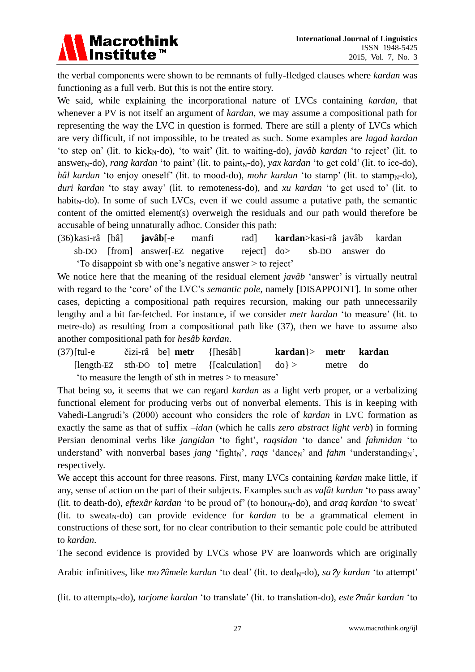

the verbal components were shown to be remnants of fully-fledged clauses where *kardan* was functioning as a full verb. But this is not the entire story.

We said, while explaining the incorporational nature of LVCs containing *kardan,* that whenever a PV is not itself an argument of *kardan*, we may assume a compositional path for representing the way the LVC in question is formed. There are still a plenty of LVCs which are very difficult, if not impossible, to be treated as such. Some examples are *lagad kardan* 'to step on' (lit. to kick<sub>N</sub>-do), 'to wait' (lit. to waiting-do), *jav âb kardan* 'to reject' (lit. to answer<sub>N</sub>-do), *rang kardan* 'to paint' (lit. to paint<sub>N</sub>-do), *yax kardan* 'to get cold' (lit. to ice-do), *hâl kardan* 'to enjoy oneself' (lit. to mood-do), *mohr kardan* 'to stamp' (lit. to stamp<sub>N</sub>-do), *duri kardan* ‗to stay away' (lit. to remoteness-do), and *xu kardan* ‗to get used to' (lit. to habit<sub>N</sub>-do). In some of such LVCs, even if we could assume a putative path, the semantic content of the omitted element(s) overweigh the residuals and our path would therefore be accusable of being unnaturally adhoc. Consider this path:

(36)kasi-râ [bâ] **javâb**[-e manfi rad] **kardan**>kasi-râ javâb kardan sb-DO [from] answer[-EZ negative reject] do> sb-DO answer do ‗To disappoint sb with one's negative answer > to reject'

We notice here that the meaning of the residual element *jav ab* 'answer' is virtually neutral with regard to the 'core' of the LVC's *semantic pole*, namely [DISAPPOINT]. In some other cases, depicting a compositional path requires recursion, making our path unnecessarily lengthy and a bit far-fetched. For instance, if we consider *metr kardan* 'to measure' (lit. to metre-do) as resulting from a compositional path like (37), then we have to assume also another compositional path for *hesâb kardan*.

(37)[tul-e čizi-râ be] **metr** {[hesâb] **kardan**}> **metr kardan** [length-EZ sth-DO to] metre {[calculation] do} > metre do ‗to measure the length of sth in metres > to measure'

That being so, it seems that we can regard *kardan* as a light verb proper, or a verbalizing functional element for producing verbs out of nonverbal elements. This is in keeping with Vahedi-Langrudi's (2000) account who considers the role of *kardan* in LVC formation as exactly the same as that of suffix *–idan* (which he calls *zero abstract light verb*) in forming Persian denominal verbs like *jangidan* ‗to fight', *raqsidan* ‗to dance' and *fahmidan* ‗to understand' with nonverbal bases *jang* 'fight<sub>N</sub>', *raqs* 'dance<sub>N</sub>' and *fahm* 'understanding<sub>N</sub>', respectively.

We accept this account for three reasons. First, many LVCs containing *kardan* make little, if any, sense of action on the part of their subjects. Examples such as *vaf ât kardan* 'to pass away' (lit. to death-do), *eftex âr kardan* 'to be proud of' (to honour<sub>N</sub>-do), and *araq kardan* 'to sweat' (lit. to sweat<sub>N</sub>-do) can provide evidence for *kardan* to be a grammatical element in constructions of these sort, for no clear contribution to their semantic pole could be attributed to *kardan*.

The second evidence is provided by LVCs whose PV are loanwords which are originally

Arabic infinitives, like *mo*  $\hat{\theta}$  *anele kardan* 'to deal' (lit. to deal<sub>N</sub>-do), *sa*  $\hat{\gamma}$  *kardan* 'to attempt'

(lit. to attempt<sub>N</sub>-do), *tarjome kardan* 'to translate' (lit. to translation-do), *este*  $2m\hat{a}r$  *kardan* 'to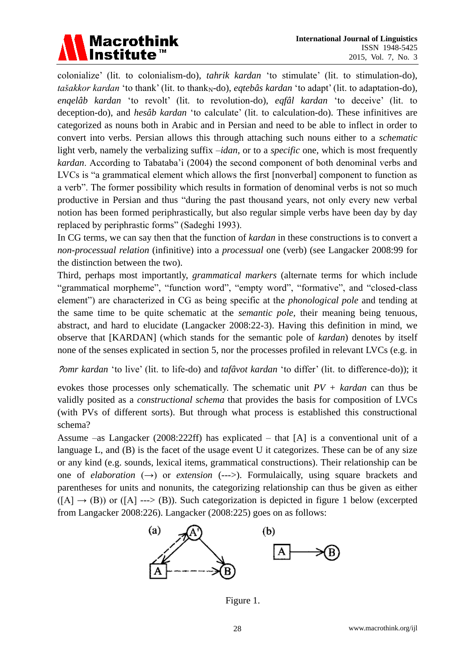

colonialize' (lit. to colonialism-do), *tahrik kardan* ‗to stimulate' (lit. to stimulation-do), *tašakkor kardan* 'to thank' (lit. to thank<sub>N</sub>-do), *eqteb*  $\hat{\alpha}$  *kardan* 'to adapt' (lit. to adaptation-do), *enqelâb kardan* ‗to revolt' (lit. to revolution-do), *eqfâl kardan* ‗to deceive' (lit. to deception-do), and *hes âb kardan* 'to calculate' (lit. to calculation-do). These infinitives are categorized as nouns both in Arabic and in Persian and need to be able to inflect in order to convert into verbs. Persian allows this through attaching such nouns either to a *schematic* light verb, namely the verbalizing suffix *–idan*, or to a *specific* one, which is most frequently *kardan*. According to Tabataba'i (2004) the second component of both denominal verbs and LVCs is "a grammatical element which allows the first [nonverbal] component to function as a verb". The former possibility which results in formation of denominal verbs is not so much productive in Persian and thus "during the past thousand years, not only every new verbal notion has been formed periphrastically, but also regular simple verbs have been day by day replaced by periphrastic forms" (Sadeghi 1993).

In CG terms, we can say then that the function of *kardan* in these constructions is to convert a *non-processual relation* (infinitive) into a *processual* one (verb) (see Langacker 2008:99 for the distinction between the two).

Third, perhaps most importantly, *grammatical markers* (alternate terms for which include "grammatical morpheme", "function word", "empty word", "formative", and "closed-class element") are characterized in CG as being specific at the *phonological pole* and tending at the same time to be quite schematic at the *semantic pole,* their meaning being tenuous, abstract, and hard to elucidate (Langacker 2008:22-3). Having this definition in mind, we observe that [KARDAN] (which stands for the semantic pole of *kardan*) denotes by itself none of the senses explicated in section 5, nor the processes profiled in relevant LVCs (e.g. in

<sup>ॽ</sup>*omr kardan* ‗to live' (lit. to life-do) and *tafâvot kardan* ‗to differ' (lit. to difference-do)); it

evokes those processes only schematically. The schematic unit *PV + kardan* can thus be validly posited as a *constructional schema* that provides the basis for composition of LVCs (with PVs of different sorts). But through what process is established this constructional schema?

Assume –as Langacker (2008:222ff) has explicated – that [A] is a conventional unit of a language L, and (B) is the facet of the usage event U it categorizes. These can be of any size or any kind (e.g. sounds, lexical items, grammatical constructions). Their relationship can be one of *elaboration*  $(\rightarrow)$  or *extension*  $(\rightarrow)$ . Formulaically, using square brackets and parentheses for units and nonunits, the categorizing relationship can thus be given as either  $([A] \rightarrow (B))$  or  $([A] \rightarrow (B))$ . Such categorization is depicted in figure 1 below (excerpted from Langacker 2008:226). Langacker (2008:225) goes on as follows:



Figure 1.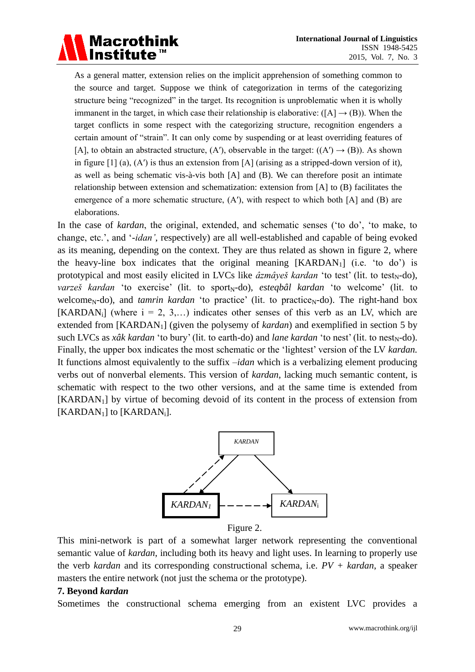As a general matter, extension relies on the implicit apprehension of something common to the source and target. Suppose we think of categorization in terms of the categorizing structure being "recognized" in the target. Its recognition is unproblematic when it is wholly immanent in the target, in which case their relationship is elaborative:  $([A] \rightarrow (B))$ . When the target conflicts in some respect with the categorizing structure, recognition engenders a certain amount of "strain". It can only come by suspending or at least overriding features of [A], to obtain an abstracted structure, (A'), observable in the target:  $((A') \rightarrow (B))$ . As shown in figure  $[1]$  (a), (A') is thus an extension from [A] (arising as a stripped-down version of it), as well as being schematic vis- $\lambda$ -vis both [A] and (B). We can therefore posit an intimate relationship between extension and schematization: extension from [A] to (B) facilitates the emergence of a more schematic structure,  $(A')$ , with respect to which both [A] and (B) are elaborations.

**Macrothink** 

In the case of *kardan*, the original, extended, and schematic senses (‗to do', ‗to make, to change, etc.', and ‗-*idan'*, respectively) are all well-established and capable of being evoked as its meaning, depending on the context. They are thus related as shown in figure 2, where the heavy-line box indicates that the original meaning  $[KARDAN<sub>1</sub>]$  (i.e. 'to do') is prototypical and most easily elicited in LVCs like  $\hat{a}z\hat{m}\hat{a}v\hat{e}\hat{s}$  *kardan* 'to test' (lit. to test<sub>N</sub>-do), *varzeš kardan* 'to exercise' (lit. to sport<sub>N</sub>-do), *esteqbâl kardan* 'to welcome' (lit. to welcome<sub>N</sub>-do), and *tamrin kardan* 'to practice' (lit. to practice<sub>N</sub>-do). The right-hand box [KARDAN<sub>i</sub>] (where  $i = 2, 3,...$ ) indicates other senses of this verb as an LV, which are extended from [KARDAN1] (given the polysemy of *kardan*) and exemplified in section 5 by such LVCs as  $x \hat{\alpha} k$  *kardan* 'to bury' (lit. to earth-do) and *lane kardan* 'to nest' (lit. to nest<sub>N</sub>-do). Finally, the upper box indicates the most schematic or the 'lightest' version of the LV *kardan*. It functions almost equivalently to the suffix *–idan* which is a verbalizing element producing verbs out of nonverbal elements. This version of *kardan*, lacking much semantic content, is schematic with respect to the two other versions, and at the same time is extended from  $[KARDAN<sub>1</sub>]$  by virtue of becoming devoid of its content in the process of extension from [KARDAN<sub>1</sub>] to [KARDAN<sub>i</sub>].



Figure 2.

This mini-network is part of a somewhat larger network representing the conventional semantic value of *kardan*, including both its heavy and light uses. In learning to properly use the verb *kardan* and its corresponding constructional schema, i.e. *PV + kardan*, a speaker masters the entire network (not just the schema or the prototype).

### **7. Beyond** *kardan*

Sometimes the constructional schema emerging from an existent LVC provides a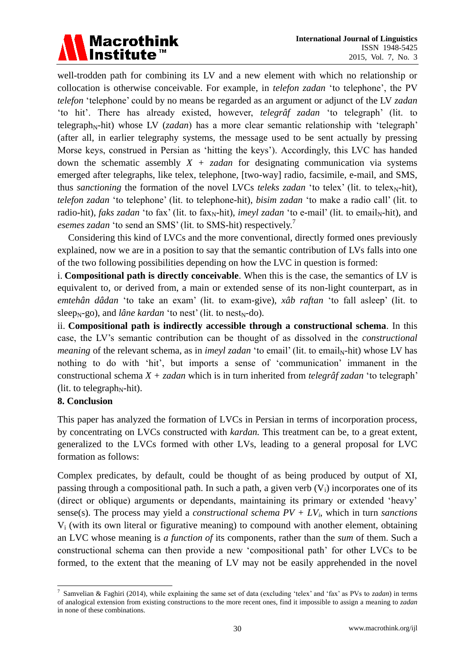

well-trodden path for combining its LV and a new element with which no relationship or collocation is otherwise conceivable. For example, in *telefon zadan* ‗to telephone', the PV *telefon* ‗telephone' could by no means be regarded as an argument or adjunct of the LV *zadan* ‗to hit'. There has already existed, however, *telegrâf zadan* ‗to telegraph' (lit. to telegraph<sub>N</sub>-hit) whose LV (*zadan*) has a more clear semantic relationship with 'telegraph' (after all, in earlier telegraphy systems, the message used to be sent actually by pressing Morse keys, construed in Persian as 'hitting the keys'). Accordingly, this LVC has handed down the schematic assembly  $X + zada$  for designating communication via systems emerged after telegraphs, like telex, telephone, [two-way] radio, facsimile, e-mail, and SMS, thus *sanctioning* the formation of the novel LVCs *teleks zadan* 'to telex' (lit. to telex<sub>N</sub>-hit), *telefon zadan* ‗to telephone' (lit. to telephone-hit), *bisim zadan* ‗to make a radio call' (lit. to radio-hit), *faks zadan* 'to fax' (lit. to fax<sub>N</sub>-hit), *imeyl zadan* 'to e-mail' (lit. to email<sub>N</sub>-hit), and esemes zadan 'to send an SMS' (lit. to SMS-hit) respectively.<sup>7</sup>

Considering this kind of LVCs and the more conventional, directly formed ones previously explained, now we are in a position to say that the semantic contribution of LVs falls into one of the two following possibilities depending on how the LVC in question is formed:

i. **Compositional path is directly conceivable**. When this is the case, the semantics of LV is equivalent to, or derived from, a main or extended sense of its non-light counterpart, as in *emtehân dâdan* 'to take an exam' (lit. to exam-give), *xâb raftan* 'to fall asleep' (lit. to sleep<sub>N</sub>-go), and *l* âne kardan 'to nest' (lit. to nest<sub>N</sub>-do).

ii. **Compositional path is indirectly accessible through a constructional schema**. In this case, the LV's semantic contribution can be thought of as dissolved in the *constructional meaning* of the relevant schema, as in *imeyl zadan* 'to email' (lit. to email<sub>N</sub>-hit) whose LV has nothing to do with ‗hit', but imports a sense of ‗communication' immanent in the constructional schema *X + zadan* which is in turn inherited from *telegrâf zadan* ‗to telegraph' (lit. to telegraph<sub>N</sub>-hit).

# **8. Conclusion**

This paper has analyzed the formation of LVCs in Persian in terms of incorporation process, by concentrating on LVCs constructed with *kardan.* This treatment can be, to a great extent, generalized to the LVCs formed with other LVs, leading to a general proposal for LVC formation as follows:

Complex predicates, by default, could be thought of as being produced by output of XI, passing through a compositional path. In such a path, a given verb  $(V_i)$  incorporates one of its (direct or oblique) arguments or dependants, maintaining its primary or extended 'heavy' sense(s). The process may yield a *constructional schema PV + LVi*, which in turn *sanctions*  $V_i$  (with its own literal or figurative meaning) to compound with another element, obtaining an LVC whose meaning is *a function of* its components, rather than the *sum* of them. Such a constructional schema can then provide a new 'compositional path' for other LVCs to be formed, to the extent that the meaning of LV may not be easily apprehended in the novel

 7 Samvelian & Faghiri (2014), while explaining the same set of data (excluding ‗telex' and ‗fax' as PVs to *zadan*) in terms of analogical extension from existing constructions to the more recent ones, find it impossible to assign a meaning to *zadan* in none of these combinations.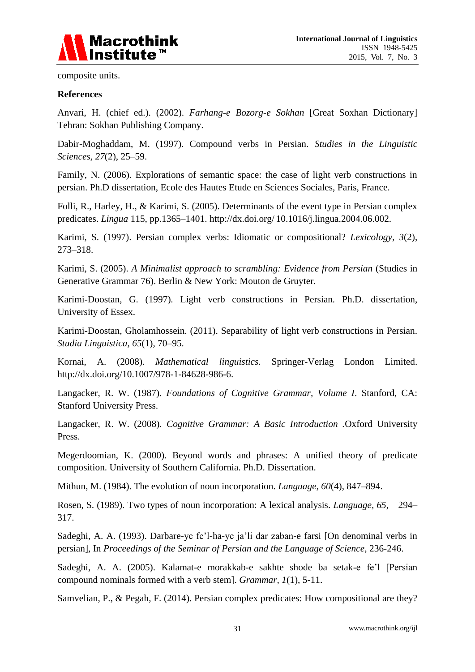

composite units.

#### **References**

Anvari, H. (chief ed.). (2002). *Farhang-e Bozorg-e Sokhan* [Great Soxhan Dictionary] Tehran: Sokhan Publishing Company.

Dabir-Moghaddam, M. (1997). Compound verbs in Persian. *Studies in the Linguistic Sciences, 27*(2), 25–59.

Family, N. (2006). Explorations of semantic space: the case of light verb constructions in persian. Ph.D dissertation, Ecole des Hautes Etude en Sciences Sociales, Paris, France.

Folli, R., Harley, H., & Karimi, S. (2005). Determinants of the event type in Persian complex predicates. *Lingua* 115, pp.1365–1401. http://dx.doi.org/ [10.1016/j.lingua.2004.06.002.](http://dx.doi.org/%2010.1016/j.lingua.2004.06.002)

Karimi, S. (1997). Persian complex verbs: Idiomatic or compositional? *Lexicology, 3*(2), 273–318.

Karimi, S. (2005). *A Minimalist approach to scrambling: Evidence from Persian* (Studies in Generative Grammar 76). Berlin & New York: Mouton de Gruyter.

Karimi-Doostan, G. (1997)*.* Light verb constructions in Persian*.* Ph.D. dissertation, University of Essex.

Karimi-Doostan, Gholamhossein. (2011). Separability of light verb constructions in Persian. *Studia Linguistica, 65*(1), 70–95.

Kornai, A. (2008). *Mathematical linguistics.* Springer-Verlag London Limited. [http://dx.doi.org/10.1007/978-1-84628-986-6.](http://dx.doi.org/10.1007/978-1-84628-986-6)

Langacker, R. W. (1987). *Foundations of Cognitive Grammar, Volume I*. Stanford, CA: Stanford University Press.

Langacker, R. W. (2008). *Cognitive Grammar: A Basic Introduction .*Oxford University Press.

Megerdoomian, K. (2000). Beyond words and phrases: A unified theory of predicate composition. University of Southern California. Ph.D. Dissertation.

Mithun, M. (1984). The evolution of noun incorporation. *Language, 60*(4), 847–894.

Rosen, S. (1989). Two types of noun incorporation: A lexical analysis. *Language, 65*, 294– 317.

Sadeghi, A. A. (1993). Darbare-ye fe'l-ha-ye ja'li dar zaban-e farsi [On denominal verbs in persian], In *Proceedings of the Seminar of Persian and the Language of Science*, 236-246.

Sadeghi, A. A. (2005). Kalamat-e morakkab-e sakhte shode ba setak-e fe'l [Persian compound nominals formed with a verb stem]. *Grammar, 1*(1), 5-11.

Samvelian, P., & Pegah, F. (2014). Persian complex predicates: How compositional are they?